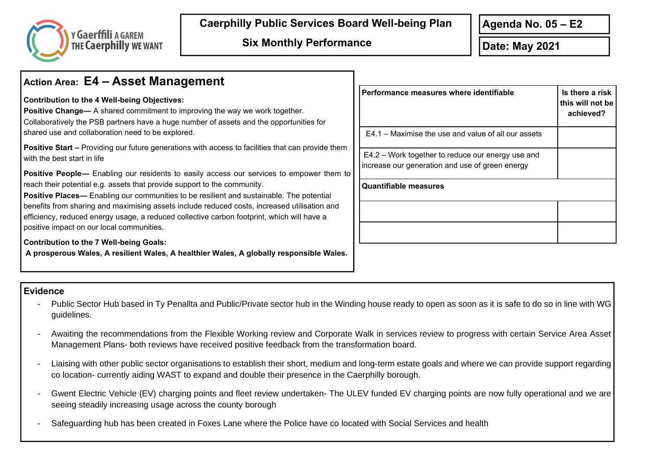

**Caerphilly Public Services Board Well-being Plan**

## **Action Area: E4 – Asset Management**

## **Contribution to the 4 Well-being Objectives:**

**Positive Change—** A shared commitment to improving the way we work together. Collaboratively the PSB partners have a huge number of assets and the opportunities for shared use and collaboration need to be explored.

**Positive Start –** Providing our future generations with access to facilities that can provide them with the best start in life

**Positive People—** Enabling our residents to easily access our services to empower them to reach their potential e.g. assets that provide support to the community.

**Positive Places—** Enabling our communities to be resilient and sustainable. The potential benefits from sharing and maximising assets include reduced costs, increased utilisation and efficiency, reduced energy usage, a reduced collective carbon footprint, which will have a positive impact on our local communities.

**Contribution to the 7 Well-being Goals:** 

**A prosperous Wales, A resilient Wales, A healthier Wales, A globally responsible Wales.** 

| Performance measures where identifiable                                                              | Is there a risk<br>this will not be<br>achieved? |
|------------------------------------------------------------------------------------------------------|--------------------------------------------------|
| E4.1 – Maximise the use and value of all our assets                                                  |                                                  |
| E4.2 – Work together to reduce our energy use and<br>increase our generation and use of green energy |                                                  |
| <b>Quantifiable measures</b>                                                                         |                                                  |
|                                                                                                      |                                                  |
|                                                                                                      |                                                  |

## **Evidence**

- Public Sector Hub based in Ty Penallta and Public/Private sector hub in the Winding house ready to open as soon as it is safe to do so in line with WG guidelines.
- Awaiting the recommendations from the Flexible Working review and Corporate Walk in services review to progress with certain Service Area Asset Management Plans- both reviews have received positive feedback from the transformation board.
- Liaising with other public sector organisations to establish their short, medium and long-term estate goals and where we can provide support regarding co location- currently aiding WAST to expand and double their presence in the Caerphilly borough.
- Gwent Electric Vehicle (EV) charging points and fleet review undertaken- The ULEV funded EV charging points are now fully operational and we are seeing steadily increasing usage across the county borough
- Safeguarding hub has been created in Foxes Lane where the Police have co located with Social Services and health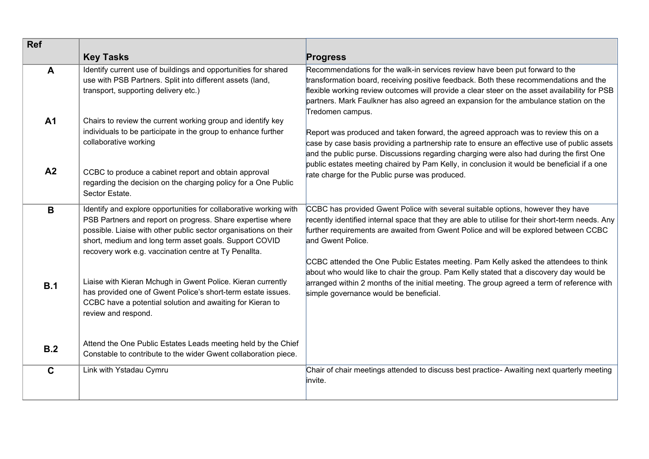| <b>Ref</b>   |                                                                                                                                                                                                                                                                                                                        |                                                                                                                                                                                                                                                                                                                                                                                                                                                                                     |
|--------------|------------------------------------------------------------------------------------------------------------------------------------------------------------------------------------------------------------------------------------------------------------------------------------------------------------------------|-------------------------------------------------------------------------------------------------------------------------------------------------------------------------------------------------------------------------------------------------------------------------------------------------------------------------------------------------------------------------------------------------------------------------------------------------------------------------------------|
|              | <b>Key Tasks</b>                                                                                                                                                                                                                                                                                                       | <b>Progress</b>                                                                                                                                                                                                                                                                                                                                                                                                                                                                     |
| $\mathbf{A}$ | Identify current use of buildings and opportunities for shared<br>use with PSB Partners. Split into different assets (land,<br>transport, supporting delivery etc.)                                                                                                                                                    | Recommendations for the walk-in services review have been put forward to the<br>transformation board, receiving positive feedback. Both these recommendations and the<br>flexible working review outcomes will provide a clear steer on the asset availability for PSB<br>partners. Mark Faulkner has also agreed an expansion for the ambulance station on the<br>Tredomen campus.                                                                                                 |
| <b>A1</b>    | Chairs to review the current working group and identify key<br>individuals to be participate in the group to enhance further<br>collaborative working                                                                                                                                                                  | Report was produced and taken forward, the agreed approach was to review this on a<br>case by case basis providing a partnership rate to ensure an effective use of public assets<br>and the public purse. Discussions regarding charging were also had during the first One<br>public estates meeting chaired by Pam Kelly, in conclusion it would be beneficial if a one                                                                                                          |
| A2           | CCBC to produce a cabinet report and obtain approval<br>regarding the decision on the charging policy for a One Public<br>Sector Estate.                                                                                                                                                                               | rate charge for the Public purse was produced.                                                                                                                                                                                                                                                                                                                                                                                                                                      |
| B            | Identify and explore opportunities for collaborative working with<br>PSB Partners and report on progress. Share expertise where<br>possible. Liaise with other public sector organisations on their<br>short, medium and long term asset goals. Support COVID<br>recovery work e.g. vaccination centre at Ty Penallta. | CCBC has provided Gwent Police with several suitable options, however they have<br>recently identified internal space that they are able to utilise for their short-term needs. Any<br>further requirements are awaited from Gwent Police and will be explored between CCBC<br>and Gwent Police.<br>CCBC attended the One Public Estates meeting. Pam Kelly asked the attendees to think<br>about who would like to chair the group. Pam Kelly stated that a discovery day would be |
| B.1          | Liaise with Kieran Mchugh in Gwent Police. Kieran currently<br>has provided one of Gwent Police's short-term estate issues.<br>CCBC have a potential solution and awaiting for Kieran to<br>review and respond.                                                                                                        | arranged within 2 months of the initial meeting. The group agreed a term of reference with<br>simple governance would be beneficial.                                                                                                                                                                                                                                                                                                                                                |
| B.2          | Attend the One Public Estates Leads meeting held by the Chief<br>Constable to contribute to the wider Gwent collaboration piece.                                                                                                                                                                                       |                                                                                                                                                                                                                                                                                                                                                                                                                                                                                     |
| $\mathbf C$  | Link with Ystadau Cymru                                                                                                                                                                                                                                                                                                | Chair of chair meetings attended to discuss best practice- Awaiting next quarterly meeting<br>linvite.                                                                                                                                                                                                                                                                                                                                                                              |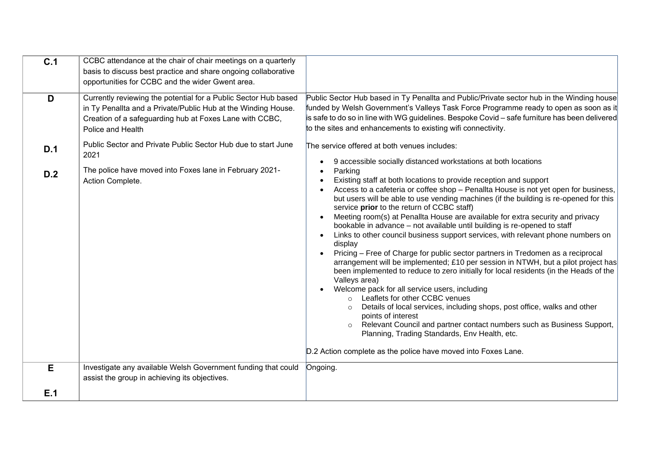| C.1      | CCBC attendance at the chair of chair meetings on a quarterly<br>basis to discuss best practice and share ongoing collaborative                                                                                                                                                           |                                                                                                                                                                                                                                                                                                                                                                                                                                                                                                                                                                                                                                                                                                                                                                                                                                                                                                                                                                                                                                                                                                                                                                                                                                                                         |
|----------|-------------------------------------------------------------------------------------------------------------------------------------------------------------------------------------------------------------------------------------------------------------------------------------------|-------------------------------------------------------------------------------------------------------------------------------------------------------------------------------------------------------------------------------------------------------------------------------------------------------------------------------------------------------------------------------------------------------------------------------------------------------------------------------------------------------------------------------------------------------------------------------------------------------------------------------------------------------------------------------------------------------------------------------------------------------------------------------------------------------------------------------------------------------------------------------------------------------------------------------------------------------------------------------------------------------------------------------------------------------------------------------------------------------------------------------------------------------------------------------------------------------------------------------------------------------------------------|
|          | opportunities for CCBC and the wider Gwent area.                                                                                                                                                                                                                                          |                                                                                                                                                                                                                                                                                                                                                                                                                                                                                                                                                                                                                                                                                                                                                                                                                                                                                                                                                                                                                                                                                                                                                                                                                                                                         |
| D<br>D.1 | Currently reviewing the potential for a Public Sector Hub based<br>in Ty Penallta and a Private/Public Hub at the Winding House.<br>Creation of a safeguarding hub at Foxes Lane with CCBC,<br>Police and Health<br>Public Sector and Private Public Sector Hub due to start June<br>2021 | Public Sector Hub based in Ty Penallta and Public/Private sector hub in the Winding house<br>funded by Welsh Government's Valleys Task Force Programme ready to open as soon as it<br>is safe to do so in line with WG guidelines. Bespoke Covid - safe furniture has been delivered<br>to the sites and enhancements to existing wifi connectivity.<br>The service offered at both venues includes:                                                                                                                                                                                                                                                                                                                                                                                                                                                                                                                                                                                                                                                                                                                                                                                                                                                                    |
| D.2      | The police have moved into Foxes lane in February 2021-<br>Action Complete.                                                                                                                                                                                                               | 9 accessible socially distanced workstations at both locations<br>$\bullet$<br>Parking<br>Existing staff at both locations to provide reception and support<br>Access to a cafeteria or coffee shop - Penallta House is not yet open for business,<br>but users will be able to use vending machines (if the building is re-opened for this<br>service prior to the return of CCBC staff)<br>Meeting room(s) at Penallta House are available for extra security and privacy<br>bookable in advance - not available until building is re-opened to staff<br>Links to other council business support services, with relevant phone numbers on<br>$\bullet$<br>display<br>Pricing - Free of Charge for public sector partners in Tredomen as a reciprocal<br>arrangement will be implemented; £10 per session in NTWH, but a pilot project has<br>been implemented to reduce to zero initially for local residents (in the Heads of the<br>Valleys area)<br>Welcome pack for all service users, including<br>o Leaflets for other CCBC venues<br>Details of local services, including shops, post office, walks and other<br>points of interest<br>Relevant Council and partner contact numbers such as Business Support,<br>Planning, Trading Standards, Env Health, etc. |
|          |                                                                                                                                                                                                                                                                                           | D.2 Action complete as the police have moved into Foxes Lane.                                                                                                                                                                                                                                                                                                                                                                                                                                                                                                                                                                                                                                                                                                                                                                                                                                                                                                                                                                                                                                                                                                                                                                                                           |
| E        | Investigate any available Welsh Government funding that could<br>assist the group in achieving its objectives.                                                                                                                                                                            | Ongoing.                                                                                                                                                                                                                                                                                                                                                                                                                                                                                                                                                                                                                                                                                                                                                                                                                                                                                                                                                                                                                                                                                                                                                                                                                                                                |
| E.1      |                                                                                                                                                                                                                                                                                           |                                                                                                                                                                                                                                                                                                                                                                                                                                                                                                                                                                                                                                                                                                                                                                                                                                                                                                                                                                                                                                                                                                                                                                                                                                                                         |